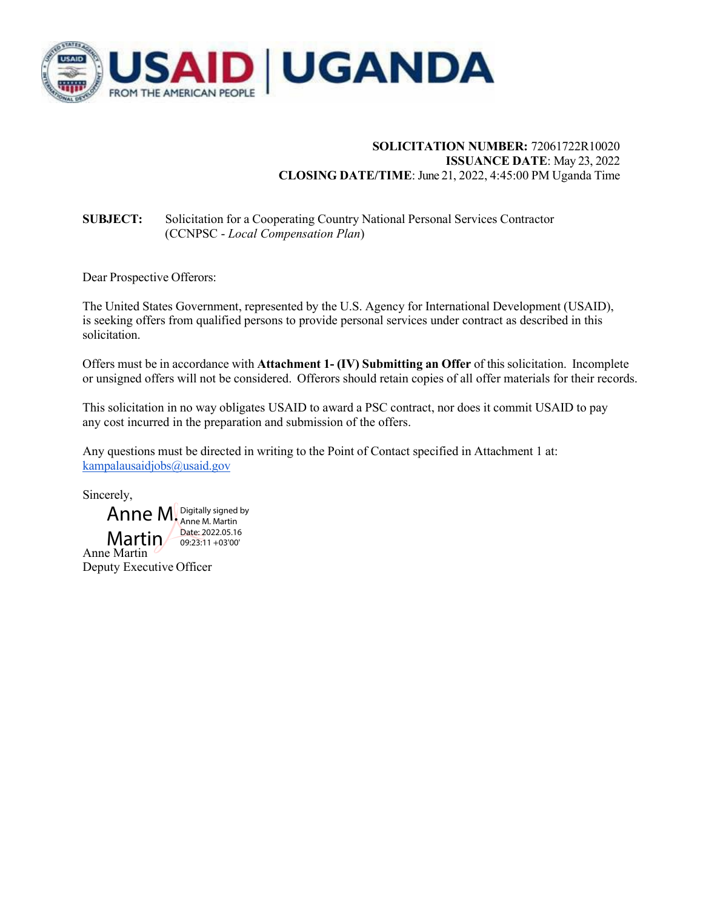

## **SOLICITATION NUMBER:** 72061722R10020 **ISSUANCE DATE**: May 23, 2022 **CLOSING DATE/TIME**: June 21, 2022, 4:45:00 PM Uganda Time

# **SUBJECT:** Solicitation for a Cooperating Country National Personal Services Contractor (CCNPSC - *Local Compensation Plan*)

Dear Prospective Offerors:

The United States Government, represented by the U.S. Agency for International Development (USAID), is seeking offers from qualified persons to provide personal services under contract as described in this solicitation.

Offers must be in accordance with **Attachment 1- (IV) Submitting an Offer** of this solicitation. Incomplete or unsigned offers will not be considered. Offerors should retain copies of all offer materials for their records.

This solicitation in no way obligates USAID to award a PSC contract, nor does it commit USAID to pay any cost incurred in the preparation and submission of the offers.

Any questions must be directed in writing to the Point of Contact specified in Attachment 1 at: kampalausaidjobs@usaid.gov

Sincerely,



Deputy Executive Officer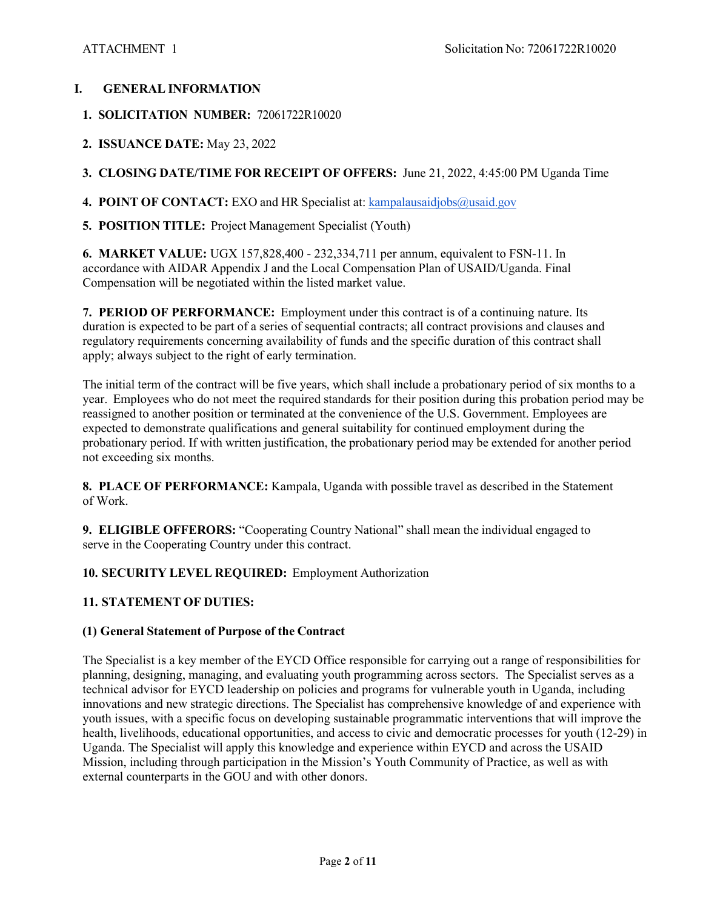### **I. GENERAL INFORMATION**

- **1. SOLICITATION NUMBER:** 72061722R10020
- **2. ISSUANCE DATE:** May 23, 2022

**3. CLOSING DATE/TIME FOR RECEIPT OF OFFERS:** June 21, 2022, 4:45:00 PM Uganda Time

- **4. POINT OF CONTACT:** EXO and HR Specialist at: kampalausaidjobs@usaid.gov
- **5. POSITION TITLE:** Project Management Specialist (Youth)

**6. MARKET VALUE:** UGX 157,828,400 - 232,334,711 per annum, equivalent to FSN-11. In accordance with AIDAR Appendix J and the Local Compensation Plan of USAID/Uganda. Final Compensation will be negotiated within the listed market value.

**7. PERIOD OF PERFORMANCE:** Employment under this contract is of a continuing nature. Its duration is expected to be part of a series of sequential contracts; all contract provisions and clauses and regulatory requirements concerning availability of funds and the specific duration of this contract shall apply; always subject to the right of early termination.

The initial term of the contract will be five years, which shall include a probationary period of six months to a year. Employees who do not meet the required standards for their position during this probation period may be reassigned to another position or terminated at the convenience of the U.S. Government. Employees are expected to demonstrate qualifications and general suitability for continued employment during the probationary period. If with written justification, the probationary period may be extended for another period not exceeding six months.

**8. PLACE OF PERFORMANCE:** Kampala, Uganda with possible travel as described in the Statement of Work.

**9. ELIGIBLE OFFERORS:** "Cooperating Country National" shall mean the individual engaged to serve in the Cooperating Country under this contract.

### **10. SECURITY LEVEL REQUIRED:** Employment Authorization

## **11. STATEMENT OF DUTIES:**

### **(1) General Statement of Purpose of the Contract**

The Specialist is a key member of the EYCD Office responsible for carrying out a range of responsibilities for planning, designing, managing, and evaluating youth programming across sectors. The Specialist serves as a technical advisor for EYCD leadership on policies and programs for vulnerable youth in Uganda, including innovations and new strategic directions. The Specialist has comprehensive knowledge of and experience with youth issues, with a specific focus on developing sustainable programmatic interventions that will improve the health, livelihoods, educational opportunities, and access to civic and democratic processes for youth (12-29) in Uganda. The Specialist will apply this knowledge and experience within EYCD and across the USAID Mission, including through participation in the Mission's Youth Community of Practice, as well as with external counterparts in the GOU and with other donors.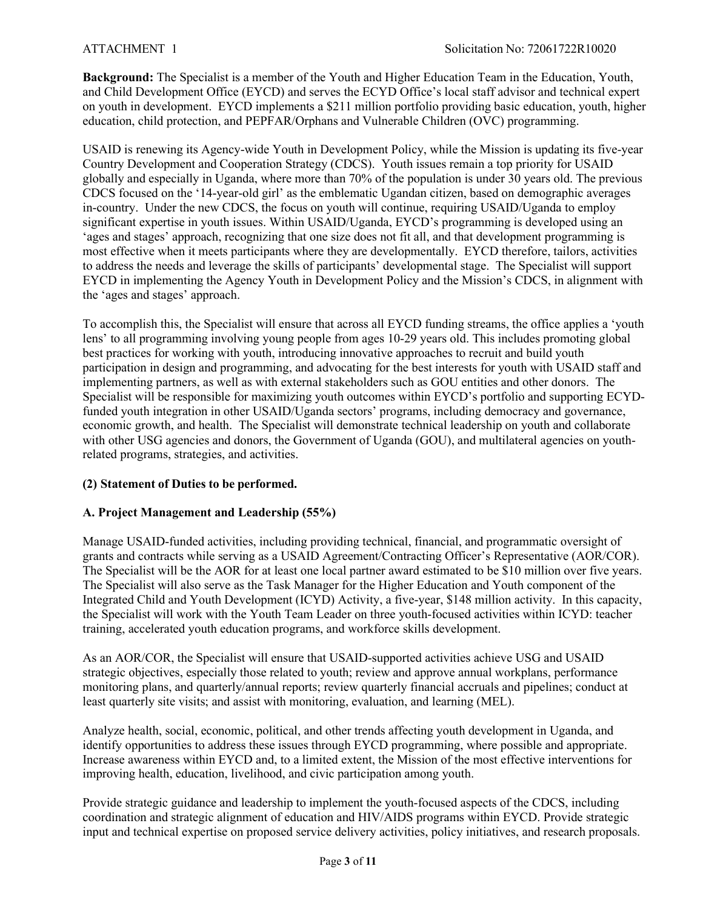**Background:** The Specialist is a member of the Youth and Higher Education Team in the Education, Youth, and Child Development Office (EYCD) and serves the ECYD Office's local staff advisor and technical expert on youth in development. EYCD implements a \$211 million portfolio providing basic education, youth, higher education, child protection, and PEPFAR/Orphans and Vulnerable Children (OVC) programming.

USAID is renewing its Agency-wide Youth in Development Policy, while the Mission is updating its five-year Country Development and Cooperation Strategy (CDCS). Youth issues remain a top priority for USAID globally and especially in Uganda, where more than 70% of the population is under 30 years old. The previous CDCS focused on the '14-year-old girl' as the emblematic Ugandan citizen, based on demographic averages in-country. Under the new CDCS, the focus on youth will continue, requiring USAID/Uganda to employ significant expertise in youth issues. Within USAID/Uganda, EYCD's programming is developed using an 'ages and stages' approach, recognizing that one size does not fit all, and that development programming is most effective when it meets participants where they are developmentally. EYCD therefore, tailors, activities to address the needs and leverage the skills of participants' developmental stage. The Specialist will support EYCD in implementing the Agency Youth in Development Policy and the Mission's CDCS, in alignment with the 'ages and stages' approach.

To accomplish this, the Specialist will ensure that across all EYCD funding streams, the office applies a 'youth lens' to all programming involving young people from ages 10-29 years old. This includes promoting global best practices for working with youth, introducing innovative approaches to recruit and build youth participation in design and programming, and advocating for the best interests for youth with USAID staff and implementing partners, as well as with external stakeholders such as GOU entities and other donors. The Specialist will be responsible for maximizing youth outcomes within EYCD's portfolio and supporting ECYDfunded youth integration in other USAID/Uganda sectors' programs, including democracy and governance, economic growth, and health. The Specialist will demonstrate technical leadership on youth and collaborate with other USG agencies and donors, the Government of Uganda (GOU), and multilateral agencies on youthrelated programs, strategies, and activities.

### **(2) Statement of Duties to be performed.**

### **A. Project Management and Leadership (55%)**

Manage USAID-funded activities, including providing technical, financial, and programmatic oversight of grants and contracts while serving as a USAID Agreement/Contracting Officer's Representative (AOR/COR). The Specialist will be the AOR for at least one local partner award estimated to be \$10 million over five years. The Specialist will also serve as the Task Manager for the Higher Education and Youth component of the Integrated Child and Youth Development (ICYD) Activity, a five-year, \$148 million activity. In this capacity, the Specialist will work with the Youth Team Leader on three youth-focused activities within ICYD: teacher training, accelerated youth education programs, and workforce skills development.

As an AOR/COR, the Specialist will ensure that USAID-supported activities achieve USG and USAID strategic objectives, especially those related to youth; review and approve annual workplans, performance monitoring plans, and quarterly/annual reports; review quarterly financial accruals and pipelines; conduct at least quarterly site visits; and assist with monitoring, evaluation, and learning (MEL).

Analyze health, social, economic, political, and other trends affecting youth development in Uganda, and identify opportunities to address these issues through EYCD programming, where possible and appropriate. Increase awareness within EYCD and, to a limited extent, the Mission of the most effective interventions for improving health, education, livelihood, and civic participation among youth.

Provide strategic guidance and leadership to implement the youth-focused aspects of the CDCS, including coordination and strategic alignment of education and HIV/AIDS programs within EYCD. Provide strategic input and technical expertise on proposed service delivery activities, policy initiatives, and research proposals.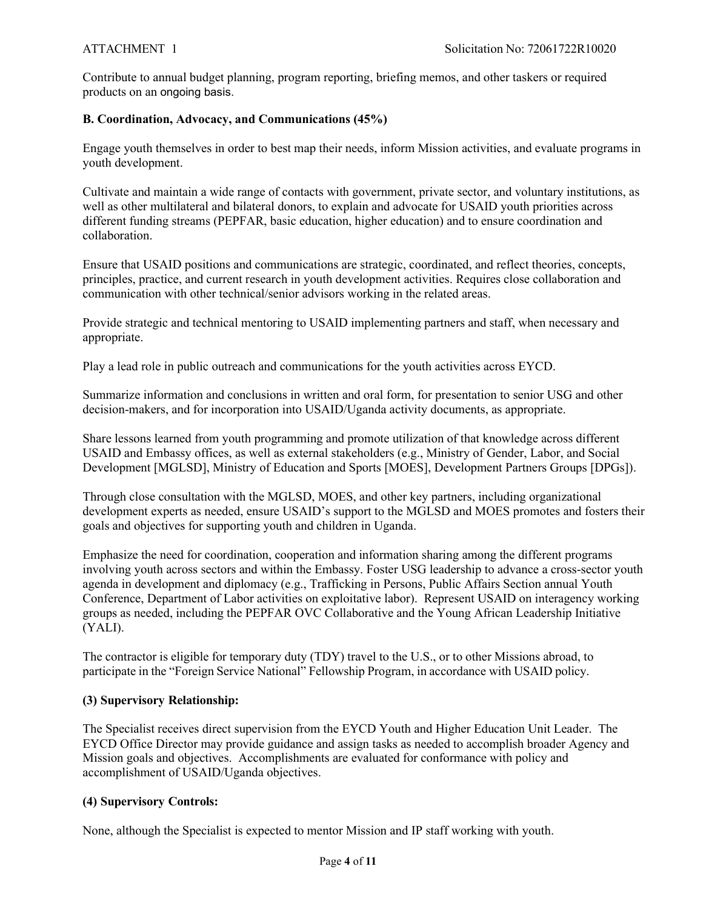Contribute to annual budget planning, program reporting, briefing memos, and other taskers or required products on an ongoing basis.

## **B. Coordination, Advocacy, and Communications (45%)**

Engage youth themselves in order to best map their needs, inform Mission activities, and evaluate programs in youth development.

Cultivate and maintain a wide range of contacts with government, private sector, and voluntary institutions, as well as other multilateral and bilateral donors, to explain and advocate for USAID youth priorities across different funding streams (PEPFAR, basic education, higher education) and to ensure coordination and collaboration.

Ensure that USAID positions and communications are strategic, coordinated, and reflect theories, concepts, principles, practice, and current research in youth development activities. Requires close collaboration and communication with other technical/senior advisors working in the related areas.

Provide strategic and technical mentoring to USAID implementing partners and staff, when necessary and appropriate.

Play a lead role in public outreach and communications for the youth activities across EYCD.

Summarize information and conclusions in written and oral form, for presentation to senior USG and other decision-makers, and for incorporation into USAID/Uganda activity documents, as appropriate.

Share lessons learned from youth programming and promote utilization of that knowledge across different USAID and Embassy offices, as well as external stakeholders (e.g., Ministry of Gender, Labor, and Social Development [MGLSD], Ministry of Education and Sports [MOES], Development Partners Groups [DPGs]).

Through close consultation with the MGLSD, MOES, and other key partners, including organizational development experts as needed, ensure USAID's support to the MGLSD and MOES promotes and fosters their goals and objectives for supporting youth and children in Uganda.

Emphasize the need for coordination, cooperation and information sharing among the different programs involving youth across sectors and within the Embassy. Foster USG leadership to advance a cross-sector youth agenda in development and diplomacy (e.g., Trafficking in Persons, Public Affairs Section annual Youth Conference, Department of Labor activities on exploitative labor). Represent USAID on interagency working groups as needed, including the PEPFAR OVC Collaborative and the Young African Leadership Initiative (YALI).

The contractor is eligible for temporary duty (TDY) travel to the U.S., or to other Missions abroad, to participate in the "Foreign Service National" Fellowship Program, in accordance with USAID policy.

## **(3) Supervisory Relationship:**

The Specialist receives direct supervision from the EYCD Youth and Higher Education Unit Leader. The EYCD Office Director may provide guidance and assign tasks as needed to accomplish broader Agency and Mission goals and objectives. Accomplishments are evaluated for conformance with policy and accomplishment of USAID/Uganda objectives.

## **(4) Supervisory Controls:**

None, although the Specialist is expected to mentor Mission and IP staff working with youth.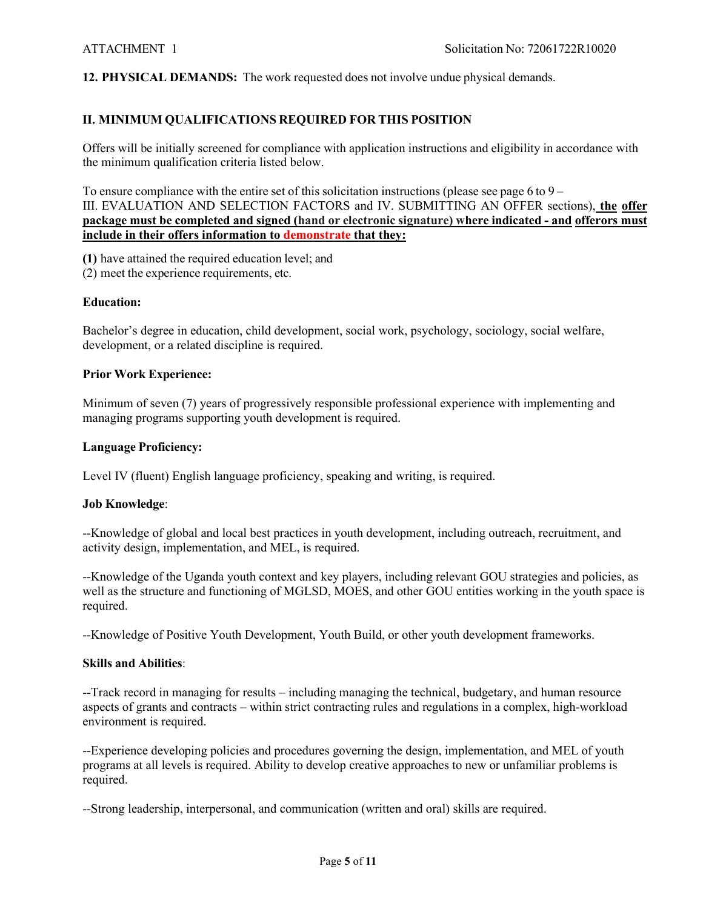**12. PHYSICAL DEMANDS:** The work requested does not involve undue physical demands.

## **II. MINIMUM QUALIFICATIONS REQUIRED FOR THIS POSITION**

Offers will be initially screened for compliance with application instructions and eligibility in accordance with the minimum qualification criteria listed below.

To ensure compliance with the entire set of this solicitation instructions (please see page 6 to  $9 -$ III. EVALUATION AND SELECTION FACTORS and IV. SUBMITTING AN OFFER sections), **the offer package must be completed and signed (hand or electronic signature) where indicated - and offerors must include in their offers information to demonstrate that they:**

**(1)** have attained the required education level; and

(2) meet the experience requirements, etc.

#### **Education:**

Bachelor's degree in education, child development, social work, psychology, sociology, social welfare, development, or a related discipline is required.

#### **Prior Work Experience:**

Minimum of seven (7) years of progressively responsible professional experience with implementing and managing programs supporting youth development is required.

#### **Language Proficiency:**

Level IV (fluent) English language proficiency, speaking and writing, is required.

#### **Job Knowledge**:

--Knowledge of global and local best practices in youth development, including outreach, recruitment, and activity design, implementation, and MEL, is required.

--Knowledge of the Uganda youth context and key players, including relevant GOU strategies and policies, as well as the structure and functioning of MGLSD, MOES, and other GOU entities working in the youth space is required.

--Knowledge of Positive Youth Development, Youth Build, or other youth development frameworks.

#### **Skills and Abilities**:

--Track record in managing for results – including managing the technical, budgetary, and human resource aspects of grants and contracts – within strict contracting rules and regulations in a complex, high-workload environment is required.

--Experience developing policies and procedures governing the design, implementation, and MEL of youth programs at all levels is required. Ability to develop creative approaches to new or unfamiliar problems is required.

--Strong leadership, interpersonal, and communication (written and oral) skills are required.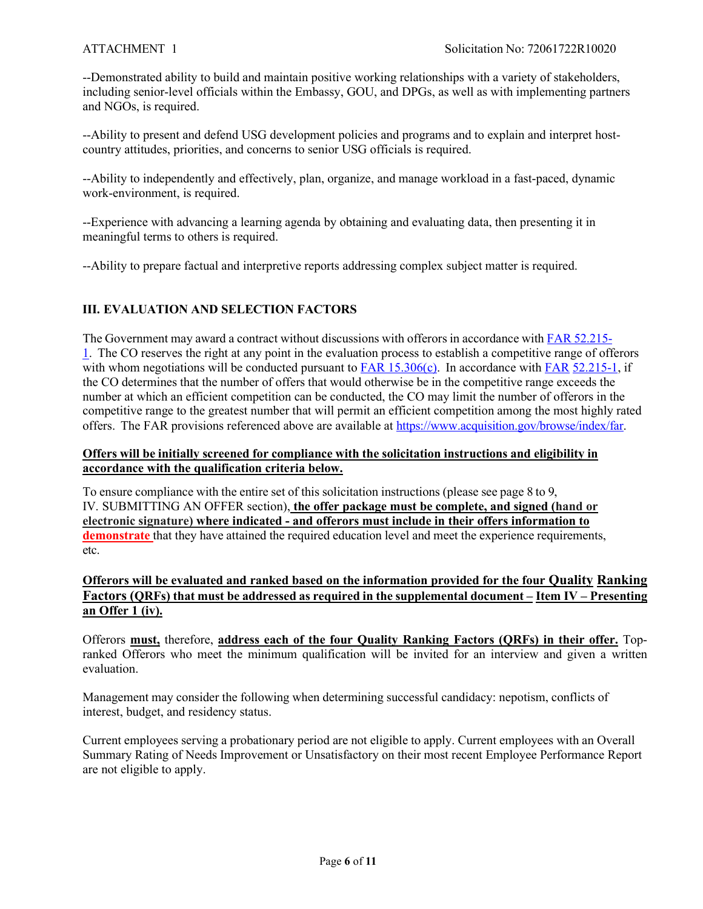--Demonstrated ability to build and maintain positive working relationships with a variety of stakeholders, including senior-level officials within the Embassy, GOU, and DPGs, as well as with implementing partners and NGOs, is required.

--Ability to present and defend USG development policies and programs and to explain and interpret hostcountry attitudes, priorities, and concerns to senior USG officials is required.

--Ability to independently and effectively, plan, organize, and manage workload in a fast-paced, dynamic work-environment, is required.

--Experience with advancing a learning agenda by obtaining and evaluating data, then presenting it in meaningful terms to others is required.

--Ability to prepare factual and interpretive reports addressing complex subject matter is required.

## **III. EVALUATION AND SELECTION FACTORS**

The Government may award a contract without discussions with offerors in accordance with FAR 52.215- 1. The CO reserves the right at any point in the evaluation process to establish a competitive range of offerors with whom negotiations will be conducted pursuant to FAR 15.306(c). In accordance with FAR 52.215-1, if the CO determines that the number of offers that would otherwise be in the competitive range exceeds the number at which an efficient competition can be conducted, the CO may limit the number of offerors in the competitive range to the greatest number that will permit an efficient competition among the most highly rated offers. The FAR provisions referenced above are available at https://www.acquisition.gov/browse/index/far.

### **Offers will be initially screened for compliance with the solicitation instructions and eligibility in accordance with the qualification criteria below.**

To ensure compliance with the entire set of this solicitation instructions (please see page 8 to 9, IV. SUBMITTING AN OFFER section), **the offer package must be complete, and signed (hand or electronic signature) where indicated - and offerors must include in their offers information to demonstrate** that they have attained the required education level and meet the experience requirements, etc.

## **Offerors will be evaluated and ranked based on the information provided for the four Quality Ranking Factors (QRFs) that must be addressed as required in the supplemental document – Item IV – Presenting an Offer 1 (iv).**

Offerors **must,** therefore, **address each of the four Quality Ranking Factors (QRFs) in their offer.** Topranked Offerors who meet the minimum qualification will be invited for an interview and given a written evaluation.

Management may consider the following when determining successful candidacy: nepotism, conflicts of interest, budget, and residency status.

Current employees serving a probationary period are not eligible to apply. Current employees with an Overall Summary Rating of Needs Improvement or Unsatisfactory on their most recent Employee Performance Report are not eligible to apply.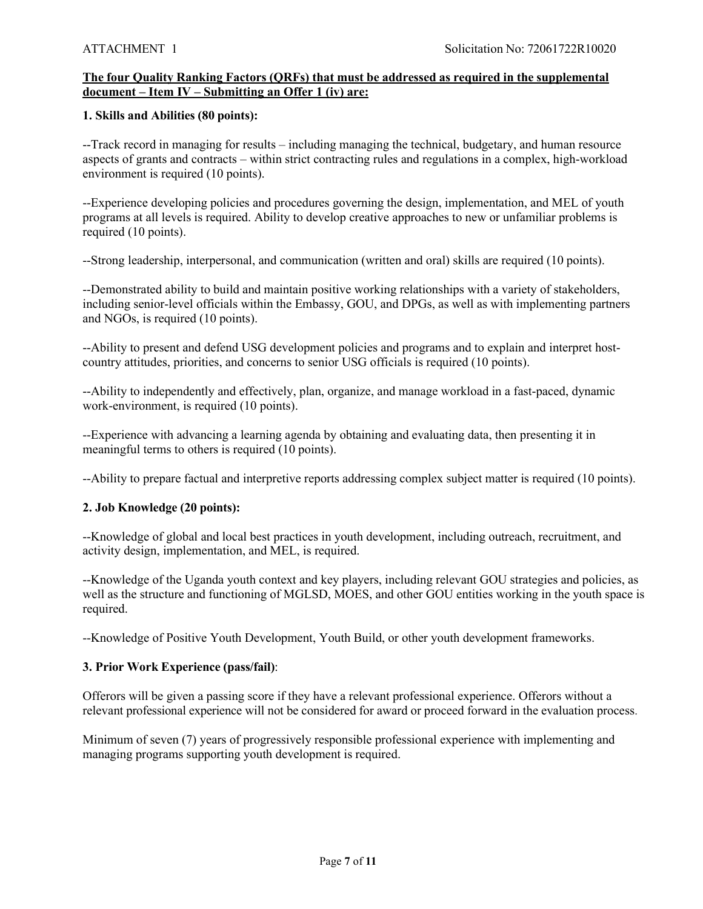## **The four Quality Ranking Factors (QRFs) that must be addressed as required in the supplemental document – Item IV – Submitting an Offer 1 (iv) are:**

#### **1. Skills and Abilities (80 points):**

--Track record in managing for results – including managing the technical, budgetary, and human resource aspects of grants and contracts – within strict contracting rules and regulations in a complex, high-workload environment is required (10 points).

--Experience developing policies and procedures governing the design, implementation, and MEL of youth programs at all levels is required. Ability to develop creative approaches to new or unfamiliar problems is required (10 points).

--Strong leadership, interpersonal, and communication (written and oral) skills are required (10 points).

--Demonstrated ability to build and maintain positive working relationships with a variety of stakeholders, including senior-level officials within the Embassy, GOU, and DPGs, as well as with implementing partners and NGOs, is required (10 points).

--Ability to present and defend USG development policies and programs and to explain and interpret hostcountry attitudes, priorities, and concerns to senior USG officials is required (10 points).

--Ability to independently and effectively, plan, organize, and manage workload in a fast-paced, dynamic work-environment, is required (10 points).

--Experience with advancing a learning agenda by obtaining and evaluating data, then presenting it in meaningful terms to others is required (10 points).

--Ability to prepare factual and interpretive reports addressing complex subject matter is required (10 points).

### **2. Job Knowledge (20 points):**

--Knowledge of global and local best practices in youth development, including outreach, recruitment, and activity design, implementation, and MEL, is required.

--Knowledge of the Uganda youth context and key players, including relevant GOU strategies and policies, as well as the structure and functioning of MGLSD, MOES, and other GOU entities working in the youth space is required.

--Knowledge of Positive Youth Development, Youth Build, or other youth development frameworks.

### **3. Prior Work Experience (pass/fail)**:

Offerors will be given a passing score if they have a relevant professional experience. Offerors without a relevant professional experience will not be considered for award or proceed forward in the evaluation process.

Minimum of seven (7) years of progressively responsible professional experience with implementing and managing programs supporting youth development is required.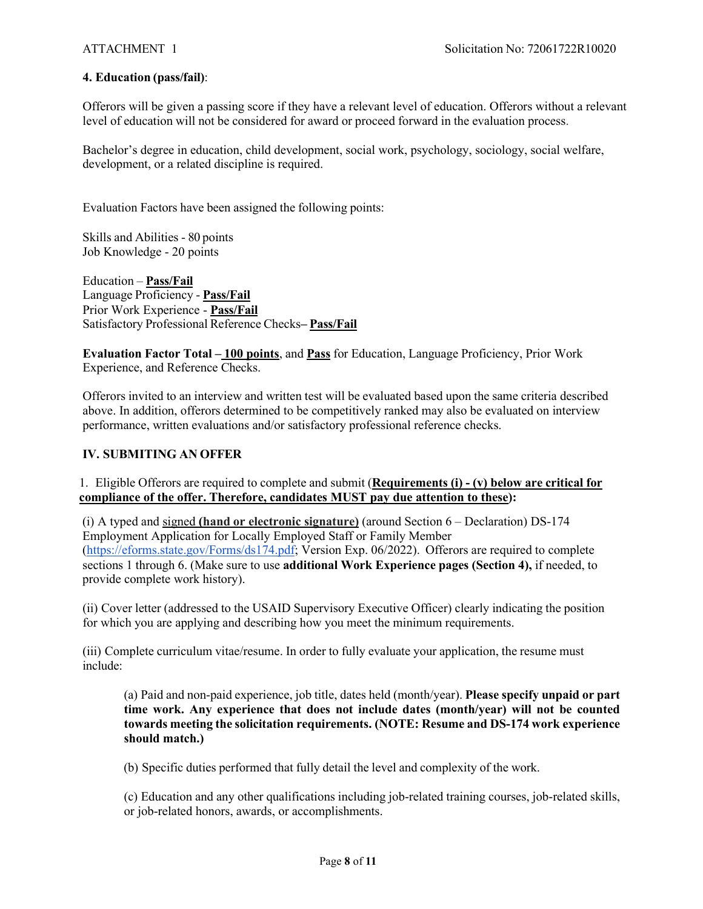#### **4. Education (pass/fail)**:

Offerors will be given a passing score if they have a relevant level of education. Offerors without a relevant level of education will not be considered for award or proceed forward in the evaluation process.

Bachelor's degree in education, child development, social work, psychology, sociology, social welfare, development, or a related discipline is required.

Evaluation Factors have been assigned the following points:

Skills and Abilities - 80 points Job Knowledge - 20 points

Education – **Pass/Fail** Language Proficiency - **Pass/Fail** Prior Work Experience - **Pass/Fail** Satisfactory Professional Reference Checks**– Pass/Fail**

**Evaluation Factor Total – 100 points**, and **Pass** for Education, Language Proficiency, Prior Work Experience, and Reference Checks.

Offerors invited to an interview and written test will be evaluated based upon the same criteria described above. In addition, offerors determined to be competitively ranked may also be evaluated on interview performance, written evaluations and/or satisfactory professional reference checks.

#### **IV. SUBMITING AN OFFER**

1. Eligible Offerors are required to complete and submit (**Requirements (i) - (v) below are critical for compliance of the offer. Therefore, candidates MUST pay due attention to these):**

(i) A typed and signed **(hand or electronic signature)** (around Section 6 – Declaration) DS-174 Employment Application for Locally Employed Staff or Family Member (https://eforms.state.gov/Forms/ds174.pdf; Version Exp. 06/2022). Offerors are required to complete sections 1 through 6. (Make sure to use **additional Work Experience pages (Section 4),** if needed, to provide complete work history).

(ii) Cover letter (addressed to the USAID Supervisory Executive Officer) clearly indicating the position for which you are applying and describing how you meet the minimum requirements.

(iii) Complete curriculum vitae/resume. In order to fully evaluate your application, the resume must include:

(a) Paid and non-paid experience, job title, dates held (month/year). **Please specify unpaid or part time work. Any experience that does not include dates (month/year) will not be counted towards meeting the solicitation requirements. (NOTE: Resume and DS-174 work experience should match.)**

(b) Specific duties performed that fully detail the level and complexity of the work.

(c) Education and any other qualifications including job-related training courses, job-related skills, or job-related honors, awards, or accomplishments.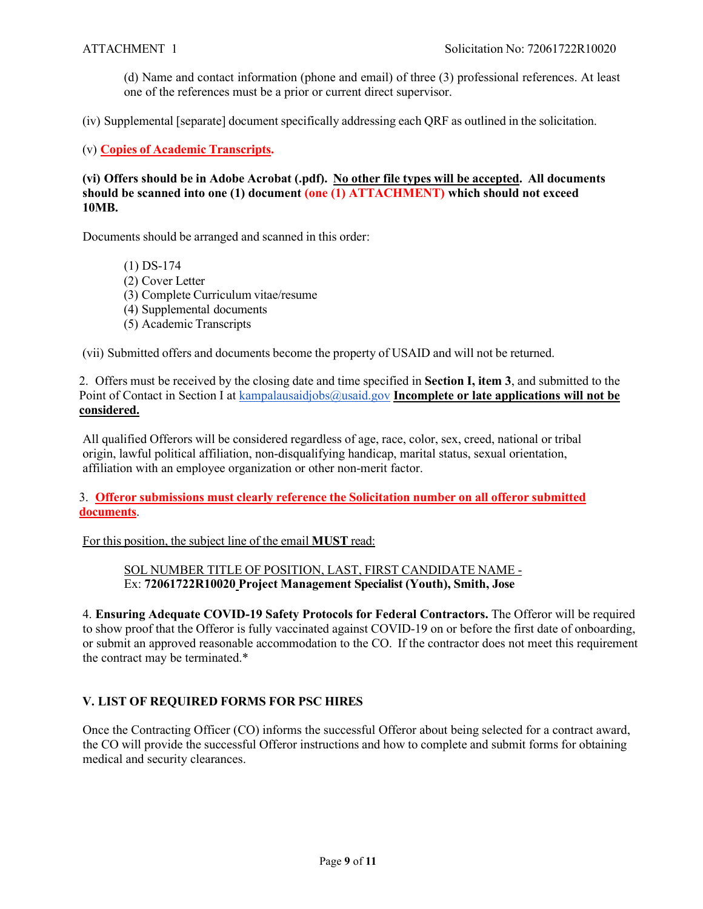(d) Name and contact information (phone and email) of three (3) professional references. At least one of the references must be a prior or current direct supervisor.

(iv) Supplemental [separate] document specifically addressing each QRF as outlined in the solicitation.

(v) **Copies of Academic Transcripts.**

**(vi) Offers should be in Adobe Acrobat (.pdf). No other file types will be accepted. All documents should be scanned into one (1) document (one (1) ATTACHMENT) which should not exceed 10MB.**

Documents should be arranged and scanned in this order:

(1) DS-174 (2) Cover Letter (3) Complete Curriculum vitae/resume (4) Supplemental documents (5) Academic Transcripts

(vii) Submitted offers and documents become the property of USAID and will not be returned.

2. Offers must be received by the closing date and time specified in **Section I, item 3**, and submitted to the Point of Contact in Section I at kampalausaidjobs@usaid.gov **Incomplete or late applications will not be considered.**

All qualified Offerors will be considered regardless of age, race, color, sex, creed, national or tribal origin, lawful political affiliation, non-disqualifying handicap, marital status, sexual orientation, affiliation with an employee organization or other non-merit factor.

3. **Offeror submissions must clearly reference the Solicitation number on all offeror submitted documents**.

For this position, the subject line of the email **MUST** read:

SOL NUMBER TITLE OF POSITION, LAST, FIRST CANDIDATE NAME - Ex: **72061722R10020 Project Management Specialist (Youth), Smith, Jose**

4. **Ensuring Adequate COVID-19 Safety Protocols for Federal Contractors.** The Offeror will be required to show proof that the Offeror is fully vaccinated against COVID-19 on or before the first date of onboarding, or submit an approved reasonable accommodation to the CO. If the contractor does not meet this requirement the contract may be terminated.\*

### **V. LIST OF REQUIRED FORMS FOR PSC HIRES**

Once the Contracting Officer (CO) informs the successful Offeror about being selected for a contract award, the CO will provide the successful Offeror instructions and how to complete and submit forms for obtaining medical and security clearances.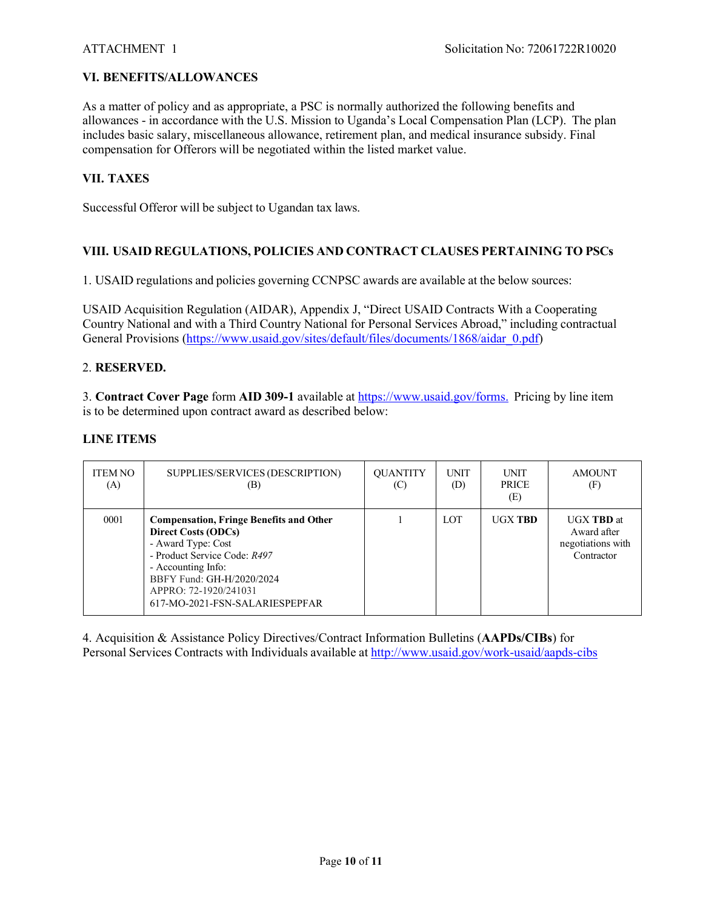## **VI. BENEFITS/ALLOWANCES**

As a matter of policy and as appropriate, a PSC is normally authorized the following benefits and allowances - in accordance with the U.S. Mission to Uganda's Local Compensation Plan (LCP). The plan includes basic salary, miscellaneous allowance, retirement plan, and medical insurance subsidy. Final compensation for Offerors will be negotiated within the listed market value.

### **VII. TAXES**

Successful Offeror will be subject to Ugandan tax laws.

### **VIII. USAID REGULATIONS, POLICIES AND CONTRACT CLAUSES PERTAINING TO PSCs**

1. USAID regulations and policies governing CCNPSC awards are available at the below sources:

USAID Acquisition Regulation (AIDAR), Appendix J, "Direct USAID Contracts With a Cooperating Country National and with a Third Country National for Personal Services Abroad," including contractual General Provisions (https://www.usaid.gov/sites/default/files/documents/1868/aidar\_0.pdf)

### 2. **RESERVED.**

3. **Contract Cover Page** form **AID 309-1** available at https://www.usaid.gov/forms. Pricing by line item is to be determined upon contract award as described below:

### **LINE ITEMS**

| <b>ITEM NO</b><br>(A) | SUPPLIES/SERVICES (DESCRIPTION)<br>(B)                                                                                                                                                                                                           | <b>QUANTITY</b><br>(C) | <b>UNIT</b><br>(D) | <b>UNIT</b><br><b>PRICE</b><br>(E) | <b>AMOUNT</b><br>(F)                                                |
|-----------------------|--------------------------------------------------------------------------------------------------------------------------------------------------------------------------------------------------------------------------------------------------|------------------------|--------------------|------------------------------------|---------------------------------------------------------------------|
| 0001                  | <b>Compensation, Fringe Benefits and Other</b><br><b>Direct Costs (ODCs)</b><br>- Award Type: Cost<br>- Product Service Code: R497<br>- Accounting Info:<br>BBFY Fund: GH-H/2020/2024<br>APPRO: 72-1920/241031<br>617-MO-2021-FSN-SALARIESPEPFAR |                        | LOT                | <b>UGX TRD</b>                     | <b>UGX TBD</b> at<br>Award after<br>negotiations with<br>Contractor |

4. Acquisition & Assistance Policy Directives/Contract Information Bulletins (**AAPDs/CIBs**) for Personal Services Contracts with Individuals available at http://www.usaid.gov/work-usaid/aapds-cibs